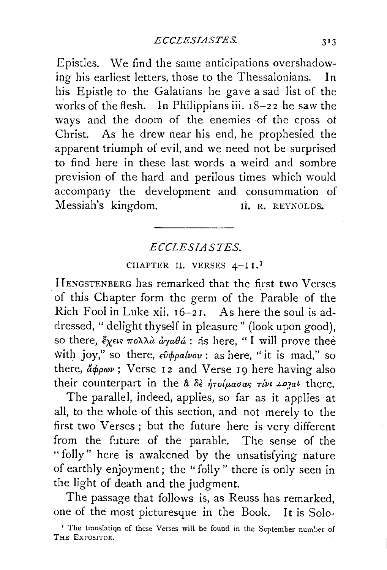Epistles. We find the same anticipations overshadowing his earliest letters, those to the Thessalonians. In his Epistle to the Galatians he gave a sad list of the works of the flesh. In Philippians iii. 18-22 he saw the ways and the doom of the enemies of the cross of Christ. As he drew near his end, he prophesied the apparent triumph of evil, and we need not be surprised to find here in these last words a weird and sombre prevision of the hard and perilous times which would accompany the development and consummation of Messiah's kingdom. H. R. REYNOLDS.

## *ECCLES!ASTES.*

## CHAPTER II. VERSES 4-II.<sup>1</sup>

HENGSTENBERG has remarked that the first two Verses of this Chapter form the germ of the Parable of the Rich Fool in Luke xii. 16-2 r. As here the soul is addressed, "delight thyself in pleasure" (look upon good), so there,  $\zeta_{\chi\epsilon\iota\varsigma}$   $\pi o \lambda \lambda \dot{a} d\chi_{\alpha} \theta \dot{a}$ : as here, " I will prove thee with joy," so there,  $\epsilon \hat{\nu} \phi \rho a \hat{\nu} \omega$  : as here, "it is mad," so there,  $d\phi \rho \omega \nu$ ; Verse 12 and Verse 19 here having also their counterpart in the  $\hat{a}$   $\delta \hat{\epsilon}$  *ήτοίμασας τίνι ιριαι* there.

The parallel, indeed, applies, so far as it applies at all, to the whole of this section, and not merely to the first two Verses ; but the future here is very different from the future of the parable. The sense of the "folly" here is awakened by the unsatisfying nature of earthly enjoyment; the "folly" there is only seen in the light of death and the judgment.

The passage that follows is, as Reuss has remarked, one of the most picturesque in the Book. It is Solo-

<sup>&</sup>lt;sup>1</sup> The translation of these Verses will be found in the September number of , THE EXPOSITOR.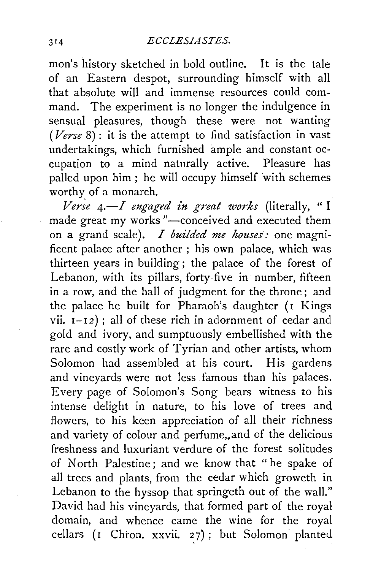mon's history sketched in bold outline. It is the tale of an Eastern despot, surrounding himself with all that absolute will and immense resources could command. The experiment is no longer the indulgence in sensual pleasures, though these were not wanting *(Verse* 8) : it is the attempt to find satisfaction in vast undertakings, which furnished ample and constant occupation to a mind naturally active. Pleasure has palled upon him ; he will occupy himself with schemes worthy of a monarch.

*Verse 4.* - I engaged in great works (literally, "I made great my works "-conceived and executed them on a grand scale). *I builded me houses:* one magnificent palace after another ; his own palace, which was thirteen years in building ; the palace of the forest of Lebanon, with its pillars, forty-five in number, fifteen in a row, and the hall of judgment for the throne; and the palace he built for Pharaoh's daughter (I Kings vii.  $I-I2$ ); all of these rich in adornment of cedar and gold and ivory, and sumptuously embellished with the rare and costly work of Tyrian and other artists, whom Solomon had assembled at his court. His gardens and vineyards were not less famous than his palaces. Every page of Solomon's Song bears witness to his intense delight in nature, to his love of trees and flowers, to his keen appreciation of all their richness and variety of colour and perfume, and of the delicious freshness and luxuriant verdure of the forest solitudes of North Palestine; and we know that " he spake of all trees and plants, from the cedar which groweth in Lebanon to the hyssop that springeth out of the wall." David had his vineyards, that formed part of the royal domain, and whence came the wine for the royal cellars (I Chron. xxvii. 27); but Solomon planted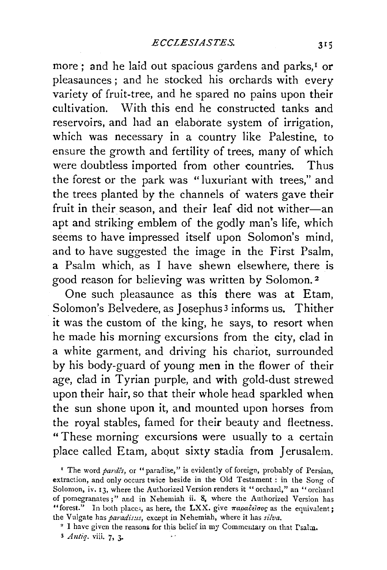more; and he laid out spacious gardens and parks,<sup>1</sup> or pleasaunces ; and he stocked his orchards with every variety of fruit-tree, and he spared no pains upon their cultivation. With this end he constructed tanks and reservoirs, and had an elaborate system of irrigation, which was necessary in a country like Palestine, to ensure the growth and fertility of trees, many of which were doubtless imported from other countries. Thus the forest or the park was "luxuriant with trees," and the trees planted by the channels of waters gave their fruit in their season, and their leaf did not wither-an apt and striking emblem of the godly man's life, which seems to have impressed itself upon Solomon's mind, and to have suggested the image in the First Psalm, a Psalm which, as I have shewn elsewhere, there is good reason for believing was written by Solomon.<sup>2</sup>

One such pleasaunce as this there was at Etam, Solomon's Belvedere, as Josephus<sup>3</sup> informs us. Thither it was the custom of the king, he says, to resort when he made his morning excursions from the city, clad in a white garment, and driving his chariot, surrounded by his body-guard of young men in the flower of their age, clad in Tyrian purple, and with gold-dust strewed upon their hair, so that their whole head sparkled when the sun shone upon it, and mounted upon horses from the royal stables, famed for their beauty and fleetness. "These morning excursions were usually to a certain place called Etam, about sixty stadia from Jerusalem.

<sup>2</sup> I have given the reasons for this belief in my Commentary on that  $\Gamma$ salm.

<sup>&</sup>lt;sup>1</sup> The word *pardes*, or "paradise," is evidently of foreign, probably of Persian, extraction, and only occurs twice beside in the Old Testament : in the Song of Solomon, iv. 13, where the Authorized Version renders it "orchard," an "orchard of pomegranates;" and in Nehemiah ii. 8, where the Authorized Version has "forest." In both places, as here, the LXX. give  $\pi a \rho a \delta \tilde{\epsilon} \tilde{\sigma} \sigma \rho g$  as the equivalent; the Vulgate has *paradis:is*, except in Nehemiah, where it has *silva*.

<sup>3</sup> *Antiq.* viii. 7, 3-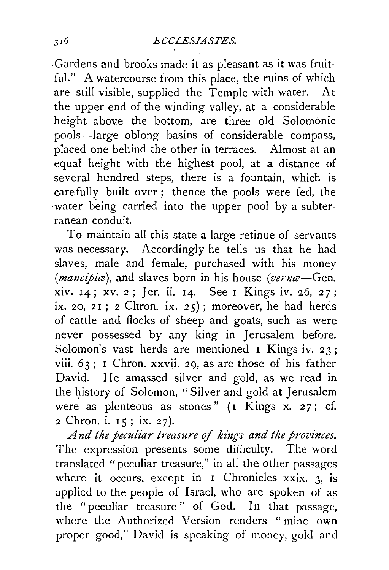-Gardens and brooks made it as pleasant as it was fruitful." A watercourse from this place, the ruins of which are still visible, supplied the Temple with water. At the upper end of the winding valley, at a considerable height above the bottom, are three old Solomonic pools-large oblong basins of considerable compass, placed one behind the other in terraces. Almost at an equal height with the highest pool, at a distance of several hundred steps, there is a fountain, which is carefully built over; thence the pools were fed, the water being carried into the upper pool by a subterranean conduit.

To maintain all this state a large retinue of servants was necessary. Accordingly he tells us that he had slaves, male and female, purchased with his money *(mancipiæ)*, and slaves born in his house *(vernæ*—Gen. xiv. I4; xv. 2; *]er.* ii. I4. See I Kings iv. 26, 27; ix. 20, 21; 2 Chron. ix. 25); moreover, he had herds of cattle and flocks of sheep and goats, such as were never possessed by any king in Jerusalem before. Solomon's vast herds are mentioned I Kings iv. 23; viii. 63; I Chron. xxvii. 29, as are those of his father David. He amassed silver and gold, as we read in the history of Solomon, "Silver and gold at Jerusalem were as plenteous as stones"  $(1 + \text{Kings x. 27}; \text{cf.})$ 2 Chron. i. IS; ix. 27).

*And the peculiar treasure of kings and the provinces.*  The expression presents some difficulty. The word translated "peculiar treasure," in all the other passages where it occurs, except in I Chronicles xxix. 3, is applied to the people of Israel, who are spoken of as the "peculiar treasure" of God. In that passage, where the Authorized Version renders "mine own proper good," David is speaking of money, gold and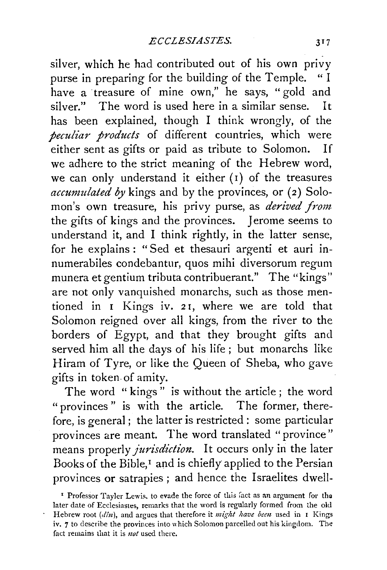silver, which he had contributed out of his own privy purse in preparing for the building of the Temple. have a treasure of mine own," he says, "gold and silver." The word is used here in a similar sense. It has been explained, though I think wrongly, of the *peculiar products* of different countries, which were either sent as gifts or paid as tribute to Solomon. If we adhere to the strict meaning of the Hebrew word, we can only understand it either (I) of the treasures *accumulated by* kings and by the provinces, or (2) Solomon's own treasure, his privy purse, as *derived from*  the gifts of kings and the provinces. Jerome seems to understand it, and I think rightly, in the latter sense, for he explains : "Sed et thesauri argenti et auri innumerabiles condebantur, quos mihi diversorum regum munera et gentium tributa contribuerant." The "kings" are not only vanquished monarchs, such as those mentioned in I Kings iv. 2 r, where we are told that Solomon reigned over all kings, from the river to the borders of Egypt, and that they brought gifts and served him all the days of his life ; but monarchs like Hiram of Tyre, or like the Queen of Sheba, who gave gifts in token of amity.

The word " kings " is without the article ; the word "provinces " is with the article. The former, therefore, is general ; the latter is restricted : some particular provinces are meant. The word translated "province" means properly *jurisdiction.* It occurs only in the later Books of the Bible,<sup>1</sup> and is chiefly applied to the Persian provinces or satrapies ; and hence the Israelites dwell-

<sup>&</sup>lt;sup>1</sup> Professor Tayler Lewis, to evade the force of this fact as an argument for the later date of Ecclesiastes, remarks that the word is regularly formed from the old Hebrew root *(din),* and argues that therefore it *might have been* used in I Kings iv. 7 to describe the provinces into which Solomon parcelled out his kingdom. The fact remains that it is *not* used there.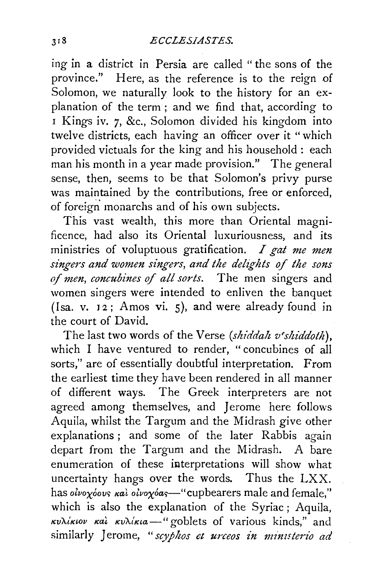ing in a district in Persia are called "the sons of the province." Here, as the reference is to the reign of Solomon, we naturally look to the history for an explanation of the term ; and we find that, according to <sup>1</sup>Kings iv. 7, &c., Solomon divided his kingdom into twelve districts, each having an officer over it "which provided victuals for the king and his household : each man his month in a year made provision." The general sense, then, seems to be that Solomon's privy purse was maintained by the contributions, free or enforced, of foreign monarchs and of his own subjects.

This vast wealth, this more than Oriental magnificence, had also its Oriental luxuriousness, and its ministries of voluptuous gratification. *I gat me men*  singers and women singers, and the delights of the sons of men, concubines of all sorts. The men singers and women singers were intended to enliven the banquet (Isa. v. 12; Amos vi. 5), and were already found in the court of David.

The last two words of the Verse *(shiddah v'shiddoth),*  which I have ventured to render, "concubines of all sorts," are of essentially doubtful interpretation. From the earliest time they have been rendered in all manner of different ways. The Greek interpreters are not agreed among themselves, and Jerome here follows Aquila, whilst the Targum and the Midrash give other explanations ; and some of the later Rabbis again depart from the Targum and the Midrash. A bare enumeration of these interpretations will show what uncertainty hangs over the words. Thus the LXX. has *olvoxoovs kaì olvoxoas*—"cupbearers male and female," which is also the explanation of the Syriac ; Aquila,  $Kv\lambda$ *iκιον και κυλίκια* - "goblets of various kinds," and similarly Jerome, "scyphos et urceos in ministerio ad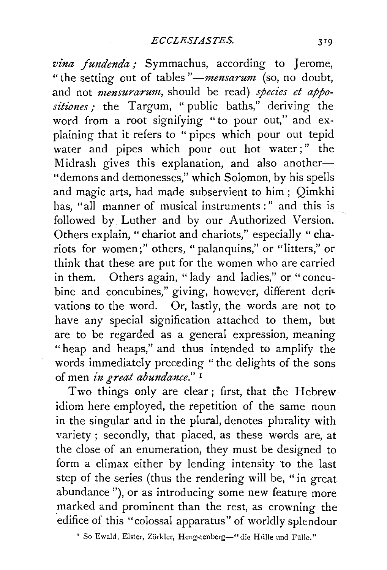vina fundenda; Symmachus, according to Jerome, "the setting out of tables "-*mensarum* (so, no doubt, and not *mensurarum,* should be read) *species et appo*sitiones ; the Targum, "public baths," deriving the word from a root signifying "to pour out," and explaining that it refers to " pipes which pour out tepid water and pipes which pour out hot water;" the Midrash gives this explanation, and also another-"demons and demonesses," which Solomon, by his spells and magic arts, had made subservient to him ; Qimkhi has, "all manner of musical instruments:" and this is followed by Luther and by our Authorized Version. Others explain, "chariot and chariots," especially " chariots for women;" others, "palanquins," or "litters," or think that these are put for the women who are carried in them. Others again, "lady and ladies," or "concubine and concubines," giving, however, different derivations to the word. Or, lastly, the words are not to have any special signification attached to them, but are to be regarded as a general expression, meaning "heap and heaps," and thus intended to amplify the words immediately preceding "the delights of the sons of men in great abundance."<sup>1</sup>

Two things only are clear; first, that the Hebrew idiom here employed, the repetition of the same noun in the singular and in the plural, denotes plurality with variety ; secondly, that placed, as these words are, at the close of an enumeration, they must be designed to form a climax either by lending intensity to the last step of the series (thus the rendering will be, "in great abundance "), or as introducing some new feature more marked and prominent than the rest, as crowning the edifice of this "colossal apparatus" of worldly splendour

' So Ewald, E!ster, Zorkler, Hengstenberg-" die Hiille und Fiille."